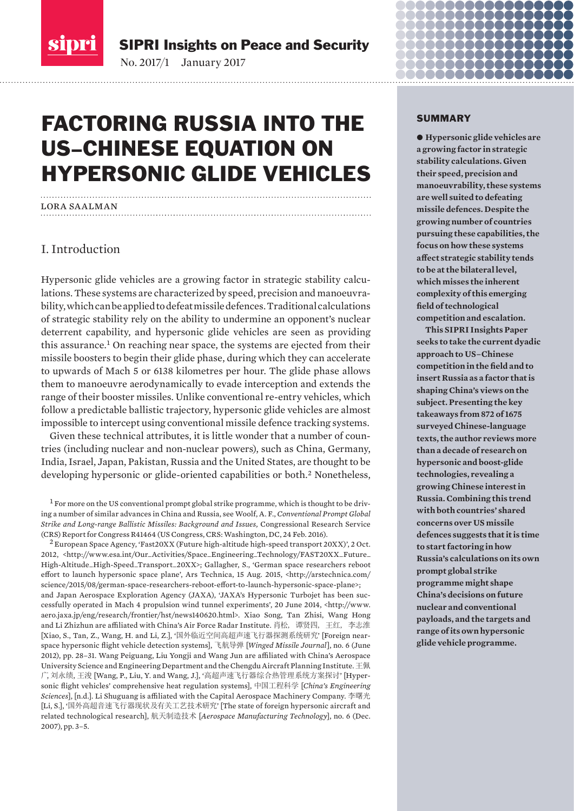

SIPRI Insights on Peace and Security

No. 2017/1-January 2017

# FACTORING RUSSIA INTO THE US–CHINESE EQUATION ON HYPERSONIC GLIDE VEHICLES

# lora saalman

# I. Introduction

Hypersonic glide vehicles are a growing factor in strategic stability calculations. These systems are characterized by speed, precision and manoeuvrability, which can be applied to defeat missile defences. Traditional calculations of strategic stability rely on the ability to undermine an opponent's nuclear deterrent capability, and hypersonic glide vehicles are seen as providing this assurance.1 On reaching near space, the systems are ejected from their missile boosters to begin their glide phase, during which they can accelerate to upwards of Mach 5 or 6138 kilometres per hour. The glide phase allows them to manoeuvre aerodynamically to evade interception and extends the range of their booster missiles. Unlike conventional re-entry vehicles, which follow a predictable ballistic trajectory, hypersonic glide vehicles are almost impossible to intercept using conventional missile defence tracking systems.

Given these technical attributes, it is little wonder that a number of countries (including nuclear and non-nuclear powers), such as China, Germany, India, Israel, Japan, Pakistan, Russia and the United States, are thought to be developing hypersonic or glide-oriented capabilities or both.2 Nonetheless,

 $1$  For more on the US conventional prompt global strike programme, which is thought to be driving a number of similar advances in China and Russia, see Woolf, A. F., *Conventional Prompt Global Strike and Long-range Ballistic Missiles: Background and Issues,* Congressional Research Service (CRS) Report for Congress R41464 (US Congress, CRS: Washington, DC, 24 Feb. 2016).

 $^2$  European Space Agency, 'Fast20XX (Future high-altitude high-speed transport 20XX)', 2 Oct. 2012, <http://www.esa.int/Our\_Activities/Space\_Engineering\_Technology/FAST20XX\_Future\_ High-Altitude\_High-Speed\_Transport\_20XX>; Gallagher, S., 'German space researchers reboot effort to launch hypersonic space plane', Ars Technica, 15 Aug. 2015, <http://arstechnica.com/ science/2015/08/german-space-researchers-reboot-effort-to-launch-hypersonic-space-plane>; and Japan Aerospace Exploration Agency (JAXA), 'JAXA's Hypersonic Turbojet has been successfully operated in Mach 4 propulsion wind tunnel experiments', 20 June 2014, <http://www. aero.jaxa.jp/eng/research/frontier/hst/news140620.html>. Xiao Song, Tan Zhisi, Wang Hong and Li Zhizhun are affiliated with China's Air Force Radar Institute. 肖松、谭贤四、王红、李志淮 [Xiao, S., Tan, Z., Wang, H. and Li, Z.], '国外临近空间高超声速飞行器探测系统研究' [Foreign nearspace hypersonic flight vehicle detection systems], 飞航导弹 [*Winged Missile Journal*], no. 6 (June 2012), pp. 28–31. Wang Peiguang, Liu Yongji and Wang Jun are affi liated with China's Aerospace University Science and Engineering Department and the Chengdu Aircraft Planning Institute. 王佩 广, 刘永绩, 王浚 [Wang, P., Liu, Y. and Wang, J.], '高超声速飞行器综合热管理系统方案探讨' [Hypersonic flight vehicles' comprehensive heat regulation systems], 中国工程科学 [*China's Engineering Sciences*], [n.d.]. Li Shuguang is affiliated with the Capital Aerospace Machinery Company. 李曙光 [Li, S.], '国外高超音速飞行器现状及有关工艺技术研究' [The state of foreign hypersonic aircraft and related technological research], 㡚ཙࡦ䙐ᢰᵟ [*Aerospace Manufacturing Technology*], no. 6 (Dec. 2007), pp. 3–5.

#### SUMMARY

acara <u> a serie de la contrada de la contrada de la contrada de la contrada de la contrada de la contrada de la contrad</u>

 $\bullet$  Hypersonic glide vehicles are **a growing factor in strategic stability calculations. Given their speed, precision and manoeuvrability, these systems are well suited to defeating missile defences. Despite the growing number of countries pursuing these capabilities, the focus on how these systems aff ect strategic stability tends to be at the bilateral level, which misses the inherent complexity of this emerging fi eld of technological competition and escalation.** 

**This SIPRI Insights Paper seeks to take the current dyadic approach to US–Chinese**  competition in the field and to **insert Russia as a factor that is shaping China's views on the subject. Presenting the key takeaways from 872 of 1675 surveyed Chinese-language texts, the author reviews more than a decade of research on hypersonic and boost-glide technologies, revealing a growing Chinese interest in Russia. Combining this trend with both countries' shared concerns over US missile defences suggests that it is time to start factoring in how Russia's calculations on its own prompt global strike programme might shape China's decisions on future nuclear and conventional payloads, and the targets and range of its own hypersonic glide vehicle programme.**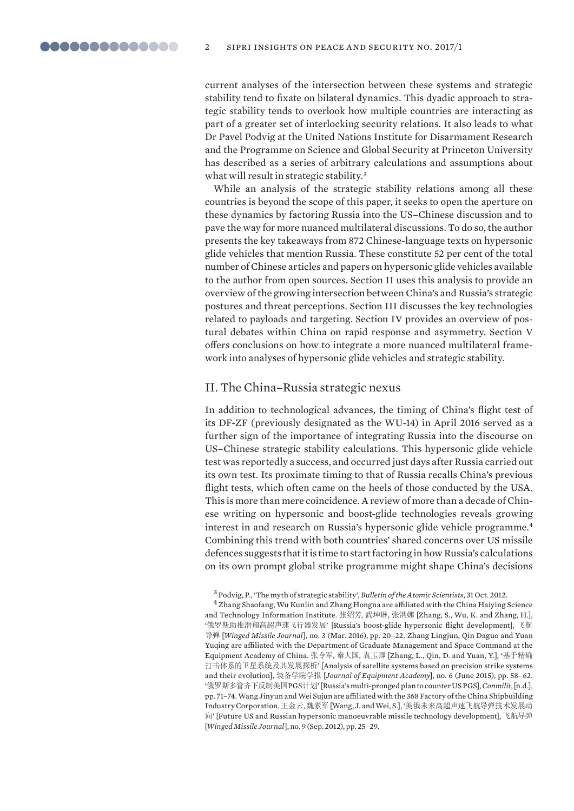current analyses of the intersection between these systems and strategic stability tend to fixate on bilateral dynamics. This dyadic approach to strategic stability tends to overlook how multiple countries are interacting as part of a greater set of interlocking security relations. It also leads to what Dr Pavel Podvig at the United Nations Institute for Disarmament Research and the Programme on Science and Global Security at Princeton University has described as a series of arbitrary calculations and assumptions about what will result in strategic stability.<sup>3</sup>

While an analysis of the strategic stability relations among all these countries is beyond the scope of this paper, it seeks to open the aperture on these dynamics by factoring Russia into the US–Chinese discussion and to pave the way for more nuanced multilateral discussions. To do so, the author presents the key takeaways from 872 Chinese-language texts on hypersonic glide vehicles that mention Russia. These constitute 52 per cent of the total number of Chinese articles and papers on hypersonic glide vehicles available to the author from open sources. Section II uses this analysis to provide an overview of the growing intersection between China's and Russia's strategic postures and threat perceptions. Section III discusses the key tech nologies related to payloads and targeting. Section IV provides an overview of postural debates within China on rapid response and asymmetry. Section V offers conclusions on how to integrate a more nuanced multilateral framework into analyses of hypersonic glide vehicles and strategic stability.

# II. The China–Russia strategic nexus

In addition to technological advances, the timing of China's flight test of its DF-ZF (previously designated as the WU-14) in April 2016 served as a further sign of the importance of integrating Russia into the discourse on US–Chinese strategic stability calculations. This hypersonic glide vehicle test was reportedly a success, and occurred just days after Russia carried out its own test. Its proximate timing to that of Russia recalls China's previous flight tests, which often came on the heels of those conducted by the USA. This is more than mere coincidence. A review of more than a decade of Chinese writing on hypersonic and boost-glide technologies reveals growing interest in and research on Russia's hypersonic glide vehicle programme. <sup>4</sup> Combining this trend with both countries' shared concerns over US missile defences suggests that it is time to start factoring in how Russia's calculations on its own prompt global strike programme might shape China's decisions

3 Podvig, P., 'The myth of strategic stability', *Bulletin of the Atomic Scientists*, 31 Oct. 2012.

 $^4$  Zhang Shaofang, Wu Kunlin and Zhang Hongna are affiliated with the China Haiying Science and Technology Information Institute. 张绍芳, 武坤琳, 张洪娜 [Zhang, S., Wu, K. and Zhang, H.], '俄罗斯助推滑翔高超声速飞行器发展' [Russia's boost-glide hypersonic flight development], 飞航 ሬᕩ [*Winged Missile Journal*], no. 3 (Mar. 2016), pp. 20–22. Zhang Lingjun, Qin Daguo and Yuan Yuqing are affiliated with the Department of Graduate Management and Space Command at the Equipment Academy of China. 张令军, 秦大国, 袁玉卿 [Zhang, L., Qin, D. and Yuan, Y.], '基于精确 打击体系的卫星系统及其发展探析' [Analysis of satellite systems based on precision strike systems and their evolution], 装备学院学报 [*Journal of Equipment Academy*], no. 6 (June 2015), pp. 58-62. '״㖇ᯟཊ㇑喀л৽ࡦ㖾ഭPGS䇑ࡂ] 'Russia's multi-pronged plan to counter US PGS], *Conmilit*, [n.d.], pp. 71–74. Wang Jinyun and Wei Sujun are affi liated with the 368 Factory of the China Shipbuilding Industry Corporation. 王金云, 魏素军 [Wang, J. and Wei, S.], '美俄未来高超声速飞航导弹技术发展动 向' [Future US and Russian hypersonic manoeuvrable missile technology development], 飞航导弹 [*Winged Missile Journal*], no. 9 (Sep. 2012), pp. 25–29.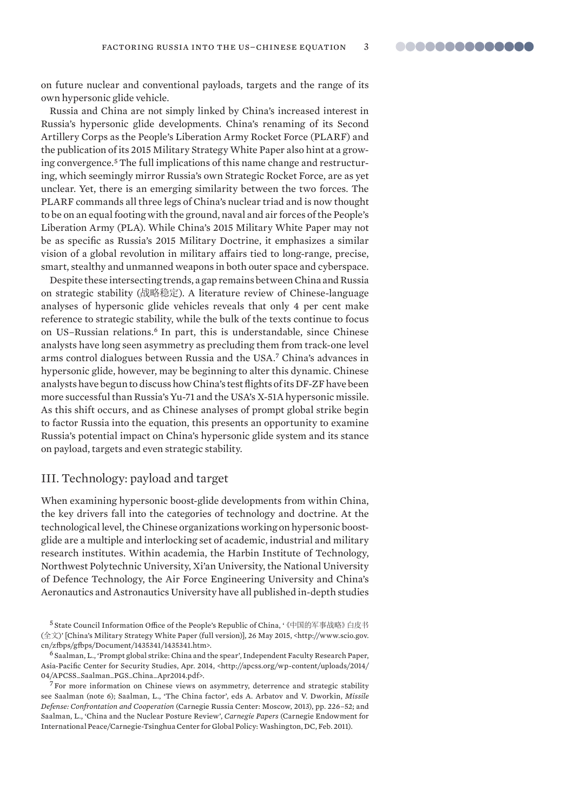on future nuclear and conventional payloads, targets and the range of its own hypersonic glide vehicle.

Russia and China are not simply linked by China's increased interest in Russia's hypersonic glide developments. China's renaming of its Second Artillery Corps as the People's Liberation Army Rocket Force (PLARF) and the publication of its 2015 Military Strategy White Paper also hint at a growing convergence. 5 The full implications of this name change and restructuring, which seemingly mirror Russia's own Strategic Rocket Force, are as yet unclear. Yet, there is an emerging similarity between the two forces. The PLARF commands all three legs of China's nuclear triad and is now thought to be on an equal footing with the ground, naval and air forces of the People's Liberation Army (PLA). While China's 2015 Military White Paper may not be as specific as Russia's 2015 Military Doctrine, it emphasizes a similar vision of a global revolution in military affairs tied to long-range, precise, smart, stealthy and unmanned weapons in both outer space and cyberspace.

Despite these intersecting trends, a gap remains between China and Russia on strategic stability (战略稳定). A literature review of Chinese-language analyses of hypersonic glide vehicles reveals that only 4 per cent make reference to strategic stability, while the bulk of the texts continue to focus on US–Russian relations.<sup>6</sup> In part, this is understandable, since Chinese analysts have long seen asymmetry as precluding them from track-one level arms control dialogues between Russia and the USA.<sup>7</sup> China's advances in hypersonic glide, however, may be beginning to alter this dynamic. Chinese analysts have begun to discuss how China's test flights of its DF-ZF have been more successful than Russia's Yu-71 and the USA's X-51A hypersonic missile. As this shift occurs, and as Chinese analyses of prompt global strike begin to factor Russia into the equation, this presents an opportunity to examine Russia's potential impact on China's hypersonic glide system and its stance on payload, targets and even strategic stability.

# III. Technology: payload and target

When examining hypersonic boost-glide developments from within China, the key drivers fall into the categories of technology and doctrine. At the technological level, the Chinese organizations working on hypersonic boostglide are a multiple and interlocking set of academic, industrial and military research institutes. Within academia, the Harbin Institute of Technology, Northwest Polytechnic University, Xi'an University, the National University of Defence Technology, the Air Force Engineering University and China's Aeronautics and Astronautics University have all published in-depth studies

<sup>5</sup> State Council Information Office of the People's Republic of China, '《中国的军事战略》白皮书 (ޘ᮷)' [China's Military Strategy White Paper (full version)], 26 May 2015, <http://www.scio.gov. cn/zfbps/gfbps/Document/1435341/1435341.htm>.

6 Saalman, L., 'Prompt global strike: China and the spear', Independent Faculty Research Paper, Asia-Pacific Center for Security Studies, Apr. 2014, <http://apcss.org/wp-content/uploads/2014/ 04/APCSS\_Saalman\_PGS\_China\_Apr2014.pdf>.

 $7$  For more information on Chinese views on asymmetry, deterrence and strategic stability see Saalman (note 6); Saalman, L., 'The China factor', eds A. Arbatov and V. Dworkin, *Missile Defense: Confrontation and Cooperation* (Carnegie Russia Center: Moscow, 2013), pp. 226–52; and Saalman, L., 'China and the Nuclear Posture Review', *Carnegie Papers* (Carnegie Endowment for International Peace/Carnegie-Tsinghua Center for Global Policy: Washington, DC, Feb. 2011).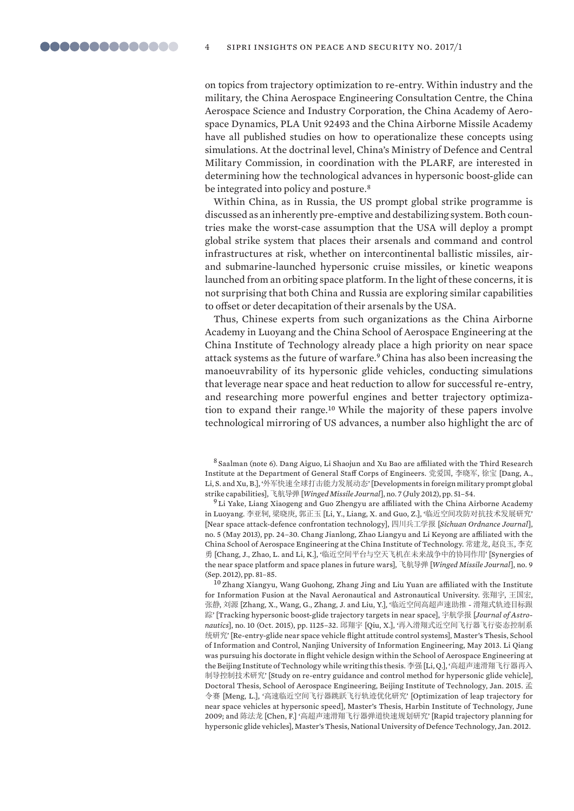on topics from trajectory optimization to re-entry. Within industry and the military, the China Aerospace Engineering Consultation Centre, the China Aerospace Science and Industry Corporation, the China Academy of Aerospace Dynamics, PLA Unit 92493 and the China Airborne Missile Academy have all published studies on how to operationalize these concepts using simulations. At the doctrinal level, China's Ministry of Defence and Central Military Commission, in coordination with the PLARF, are interested in determining how the technological advances in hypersonic boost-glide can be integrated into policy and posture.<sup>8</sup>

Within China, as in Russia, the US prompt global strike programme is discussed as an inherently pre-emptive and destabilizing system. Both countries make the worst-case assumption that the USA will deploy a prompt global strike system that places their arsenals and command and control infrastructures at risk, whether on intercontinental ballistic missiles, airand submarine-launched hypersonic cruise missiles, or kinetic weapons launched from an orbiting space platform. In the light of these concerns, it is not surprising that both China and Russia are exploring similar capabilities to offset or deter decapitation of their arsenals by the USA.

Thus, Chinese experts from such organizations as the China Airborne Academy in Luoyang and the China School of Aerospace Engineering at the China Institute of Technology already place a high priority on near space attack systems as the future of warfare.9 China has also been increasing the manoeuvrability of its hypersonic glide vehicles, conducting simulations that leverage near space and heat reduction to allow for successful re-entry, and researching more powerful engines and better trajectory optimization to expand their range.10 While the majority of these papers involve tech nological mirroring of US advances, a number also highlight the arc of

8 Saalman (note 6). Dang Aiguo, Li Shaojun and Xu Bao are affiliated with the Third Research Institute at the Department of General Staff Corps of Engineers. 党爱国, 李晓军, 徐宝 [Dang, A., Li, S. and Xu, B.], '外军快速全球打击能力发展动态' [Developments in foreign military prompt global strike capabilities], 伎㡚ሬᕩ [*Winged Missile Journal*], no. 7 (July 2012), pp. 51–54.

<sup>9</sup> Li Yake, Liang Xiaogeng and Guo Zhengyu are affiliated with the China Airborne Academy in Luoyang. 李亚轲, 梁晓庚, 郭正玉 [Li, Y., Liang, X. and Guo, Z.], '临近空间攻防对抗技术发展研究' [Near space attack-defence confrontation technology], 四川兵工学报 [*Sichuan Ordnance Journal*], no. 5 (May 2013), pp. 24-30. Chang Jianlong, Zhao Liangyu and Li Keyong are affiliated with the China School of Aerospace Engineering at the China Institute of Technology. 常建龙, 赵良玉, 李克 勇 [Chang, J., Zhao, L. and Li, K.], '临近空间平台与空天飞机在未来战争中的协同作用' [Synergies of the near space platform and space planes in future wars], 飞航导弹 [Winged Missile Journal], no. 9 (Sep. 2012), pp. 81–85.

<sup>10</sup> Zhang Xiangyu, Wang Guohong, Zhang Jing and Liu Yuan are affiliated with the Institute for Information Fusion at the Naval Aeronautical and Astronautical University. 张翔宇, 王国宏, 张静, 刘源 [Zhang, X., Wang, G., Zhang, J. and Liu, Y.], '临近空间高超声速助推 - 滑翔式轨迹目标跟 踪' [Tracking hypersonic boost-glide trajectory targets in near space], 宇航学报 [Journal of Astronautics], no. 10 (Oct. 2015), pp. 1125-32. 邱翔宇 [Qiu, X.], '再入滑翔式近空间飞行器飞行姿态控制系 统研究' [Re-entry-glide near space vehicle flight attitude control systems], Master's Thesis, School of Information and Control, Nanjing University of Information Engineering, May 2013. Li Qiang was pursuing his doctorate in flight vehicle design within the School of Aerospace Engineering at the Beijing Institute of Technology while writing this thesis. 李强 [Li, Q.], '高超声速滑翔飞行器再入 制导控制技术研究' [Study on re-entry guidance and control method for hypersonic glide vehicle], Doctoral Thesis, School of Aerospace Engineering, Beijing Institute of Technology, Jan. 2015. 孟 令赛 [Meng, L.], '高速临近空间飞行器跳跃飞行轨迹优化研究' [Optimization of leap trajectory for near space vehicles at hypersonic speed], Master's Thesis, Harbin Institute of Technology, June 2009; and 陈法龙 [Chen, F.] '高超声速滑翔飞行器弹道快速规划研究' [Rapid trajectory planning for hypersonic glide vehicles], Master's Thesis, National University of Defence Technology, Jan. 2012.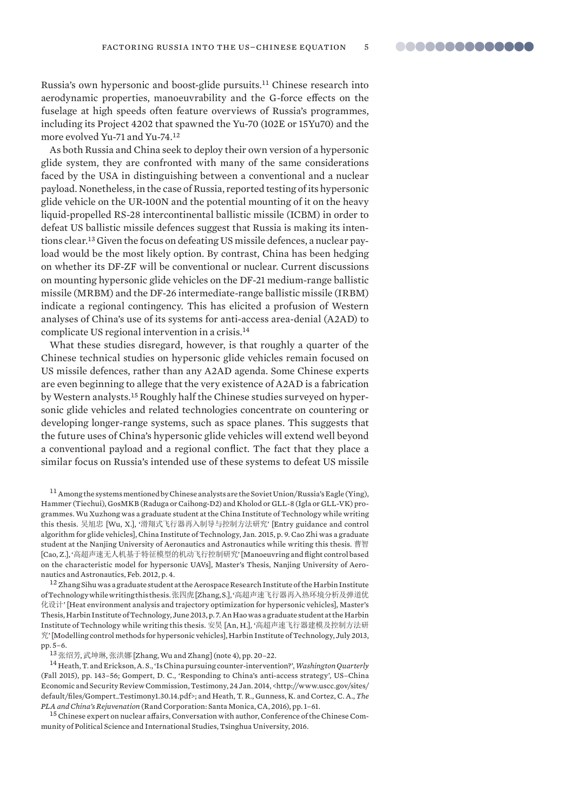Russia's own hypersonic and boost-glide pursuits.11 Chinese research into aerodynamic properties, manoeuvrability and the G-force effects on the fuselage at high speeds often feature overviews of Russia's programmes, including its Project 4202 that spawned the Yu-70 (102E or 15Yu70) and the more evolved Yu-71 and Yu-74.<sup>12</sup>

As both Russia and China seek to deploy their own version of a hypersonic glide system, they are confronted with many of the same considerations faced by the USA in distinguishing between a conventional and a nuclear payload. Nonetheless, in the case of Russia, reported testing of its hypersonic glide vehicle on the UR-100N and the potential mounting of it on the heavy liquid-propelled RS-28 intercontinental ballistic missile (ICBM) in order to defeat US ballistic missile defences suggest that Russia is making its intentions clear.13 Given the focus on defeating US missile defences, a nuclear payload would be the most likely option. By contrast, China has been hedging on whether its DF-ZF will be conventional or nuclear. Current discussions on mounting hypersonic glide vehicles on the DF-21 medium-range ballistic missile (MRBM) and the DF-26 intermediate-range ballistic missile (IRBM) indicate a regional contingency. This has elicited a profusion of Western analyses of China's use of its systems for anti-access area-denial (A2AD) to complicate US regional intervention in a crisis.<sup>14</sup>

What these studies disregard, however, is that roughly a quarter of the Chinese technical studies on hypersonic glide vehicles remain focused on US missile defences, rather than any A2AD agenda. Some Chinese experts are even beginning to allege that the very existence of A2AD is a fabrication by Western analysts.15 Roughly half the Chinese studies surveyed on hypersonic glide vehicles and related technologies concentrate on countering or developing longer-range systems, such as space planes. This suggests that the future uses of China's hypersonic glide vehicles will extend well beyond a conventional payload and a regional conflict. The fact that they place a similar focus on Russia's intended use of these systems to defeat US missile

11 Among the systems mentioned by Chinese analysts are the Soviet Union/Russia's Eagle (Ying), Hammer (Tiechui), GosMKB (Raduga or Caihong-D2) and Kholod or GLL-8 (Igla or GLL-VK) programmes. Wu Xuzhong was a graduate student at the China Institute of Technology while writing this thesis. 吴旭忠 [Wu, X.], '滑翔式飞行器再入制导与控制方法研究' [Entry guidance and control algorithm for glide vehicles], China Institute of Technology, Jan. 2015, p. 9. Cao Zhi was a graduate student at the Nanjing University of Aeronautics and Astronautics while writing this thesis. 曹智 [Cao, Z.], '高超声速无人机基于特征模型的机动飞行控制研究' [Manoeuvring and flight control based on the characteristic model for hypersonic UAVs], Master's Thesis, Nanjing University of Aeronautics and Astronautics, Feb. 2012, p. 4.

<sup>12</sup> Zhang Sihu was a graduate student at the Aerospace Research Institute of the Harbin Institute of Technology while writing this thesis. 张四虎 [Zhang, S.], '高超声速飞行器再入热环境分析及弹道优 化设计' [Heat environment analysis and trajectory optimization for hypersonic vehicles], Master's Thesis, Harbin Institute of Technology, June 2013, p. 7. An Hao was a graduate student at the Harbin Institute of Technology while writing this thesis. 安昊 [An, H.], '高超声速飞行器建模及控制方法研  $\hat{\mathcal{R}}'$  [Modelling control methods for hypersonic vehicles], Harbin Institute of Technology, July 2013, pp. 5–6.

13 张绍芳, 武坤琳, 张洪娜 [Zhang, Wu and Zhang] (note 4), pp. 20-22.

14 Heath, T. and Erickson, A. S., 'Is China pursuing counter-intervention?', *Washington Quarterly* (Fall 2015), pp. 143–56; Gompert, D. C., 'Responding to China's anti-access strategy', US–China Economic and Security Review Commission, Testimony, 24 Jan. 2014, <http://www.uscc.gov/sites/ default/fi les/Gompert\_Testimony1.30.14.pdf>; and Heath, T. R., Gunness, K. and Cortez, C. A., *The PLA and China's Rejuvenation* (Rand Corporation: Santa Monica, CA, 2016), pp. 1–61.

<sup>15</sup> Chinese expert on nuclear affairs, Conversation with author, Conference of the Chinese Community of Political Science and International Studies, Tsinghua University, 2016.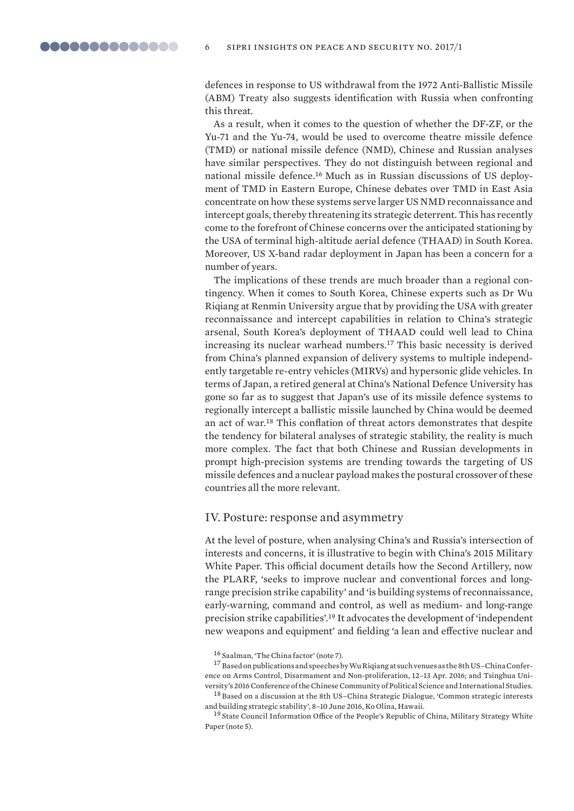defences in response to US withdrawal from the 1972 Anti-Ballistic Missile (ABM) Treaty also suggests identification with Russia when confronting this threat.

As a result, when it comes to the question of whether the DF-ZF, or the Yu-71 and the Yu-74, would be used to overcome theatre missile defence (TMD) or national missile defence (NMD), Chinese and Russian analyses have similar perspectives. They do not distinguish between regional and national missile defence.16 Much as in Russian discussions of US deployment of TMD in Eastern Europe, Chinese debates over TMD in East Asia concentrate on how these systems serve larger US NMD reconnaissance and intercept goals, thereby threatening its strategic deterrent. This has recently come to the forefront of Chinese concerns over the anticipated stationing by the USA of terminal high-altitude aerial defence (THAAD) in South Korea. Moreover, US X-band radar deployment in Japan has been a concern for a number of years.

The implications of these trends are much broader than a regional contingency. When it comes to South Korea, Chinese experts such as Dr Wu Riqiang at Renmin University argue that by providing the USA with greater reconnaissance and intercept capabilities in relation to China's strategic arsenal, South Korea's deployment of THAAD could well lead to China increasing its nuclear warhead numbers.17 This basic necessity is derived from China's planned expansion of delivery systems to multiple independently targetable re-entry vehicles (MIRVs) and hypersonic glide vehicles. In terms of Japan, a retired general at China's National Defence University has gone so far as to suggest that Japan's use of its missile defence systems to regionally intercept a ballistic missile launched by China would be deemed an act of war.<sup>18</sup> This conflation of threat actors demonstrates that despite the tendency for bilateral analyses of strategic stability, the reality is much more complex. The fact that both Chinese and Russian developments in prompt high-precision systems are trending towards the targeting of US missile defences and a nuclear payload makes the postural crossover of these countries all the more relevant.

# IV. Posture: response and asymmetry

At the level of posture, when analysing China's and Russia's intersection of interests and concerns, it is illustrative to begin with China's 2015 Military White Paper. This official document details how the Second Artillery, now the PLARF, 'seeks to improve nuclear and conventional forces and longrange precision strike capability' and 'is building systems of reconnaissance, early-warning, command and control, as well as medium- and long-range precision strike capabilities'.19 It advocates the development of 'independent new weapons and equipment' and fielding 'a lean and effective nuclear and

17 Based on publications and speeches by Wu Riqiang at such venues as the 8th US–China Conference on Arms Control, Disarmament and Non-proliferation, 12–13 Apr. 2016; and Tsinghua University's 2016 Conference of the Chinese Community of Political Science and International Studies.

18 Based on a discussion at the 8th US–China Strategic Dialogue, 'Common strategic interests and building strategic stability', 8–10 June 2016, Ko Olina, Hawaii.

<sup>16</sup> Saalman, 'The China factor' (note 7).

<sup>&</sup>lt;sup>19</sup> State Council Information Office of the People's Republic of China, Military Strategy White Paper (note 5).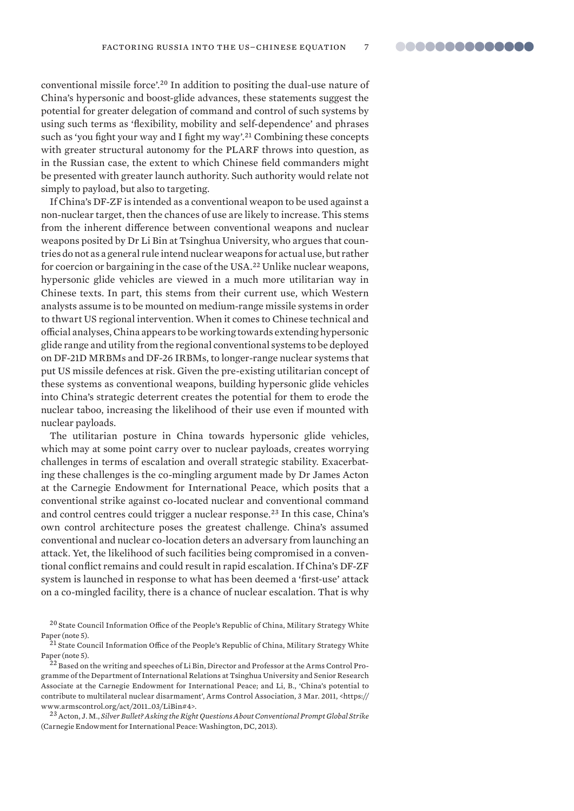conventional missile force'.20 In addition to positing the dual-use nature of China's hypersonic and boost-glide advances, these statements suggest the potential for greater delegation of command and control of such systems by using such terms as 'flexibility, mobility and self-dependence' and phrases such as 'you fight your way and I fight my way'.<sup>21</sup> Combining these concepts with greater structural autonomy for the PLARF throws into question, as in the Russian case, the extent to which Chinese field commanders might be presented with greater launch authority. Such authority would relate not simply to payload, but also to targeting.

If China's DF-ZF is intended as a conventional weapon to be used against a non-nuclear target, then the chances of use are likely to increase. This stems from the inherent difference between conventional weapons and nuclear weapons posited by Dr Li Bin at Tsinghua University, who argues that countries do not as a general rule intend nuclear weapons for actual use, but rather for coercion or bargaining in the case of the USA.22 Unlike nuclear weapons, hypersonic glide vehicles are viewed in a much more utilitarian way in Chinese texts. In part, this stems from their current use, which Western analysts assume is to be mounted on medium-range missile systems in order to thwart US regional intervention. When it comes to Chinese technical and official analyses, China appears to be working towards extending hypersonic glide range and utility from the regional conventional systems to be deployed on DF-21D MRBMs and DF-26 IRBMs, to longer-range nuclear systems that put US missile defences at risk. Given the pre-existing utilitarian concept of these systems as conventional weapons, building hypersonic glide vehicles into China's strategic deterrent creates the potential for them to erode the nuclear taboo, increasing the likelihood of their use even if mounted with nuclear payloads.

The utilitarian posture in China towards hypersonic glide vehicles, which may at some point carry over to nuclear payloads, creates worrying challenges in terms of escalation and overall strategic stability. Exacerbating these challenges is the co-mingling argument made by Dr James Acton at the Carnegie Endowment for International Peace, which posits that a conventional strike against co-located nuclear and conventional command and control centres could trigger a nuclear response.23 In this case, China's own control architecture poses the greatest challenge. China's assumed conventional and nuclear co-location deters an adversary from launching an attack. Yet, the likelihood of such facilities being compromised in a conventional conflict remains and could result in rapid escalation. If China's DF-ZF system is launched in response to what has been deemed a 'first-use' attack on a co-mingled facility, there is a chance of nuclear escalation. That is why

 $20$  State Council Information Office of the People's Republic of China, Military Strategy White Paper (note 5).

 $^{21}$  State Council Information Office of the People's Republic of China, Military Strategy White Paper (note 5).

 $^{22}$  Based on the writing and speeches of Li Bin, Director and Professor at the Arms Control Programme of the Department of International Relations at Tsinghua University and Senior Research Associate at the Carnegie Endowment for International Peace; and Li, B., 'China's potential to contribute to multilateral nuclear disarmament', Arms Control Association, 3 Mar. 2011, <https:// www.armscontrol.org/act/2011\_03/LiBin#4>.

<sup>23</sup> Acton, J. M., *Silver Bullet? Asking the Right Questions About Conventional Prompt Global Strike* (Carnegie Endowment for International Peace: Washington, DC, 2013).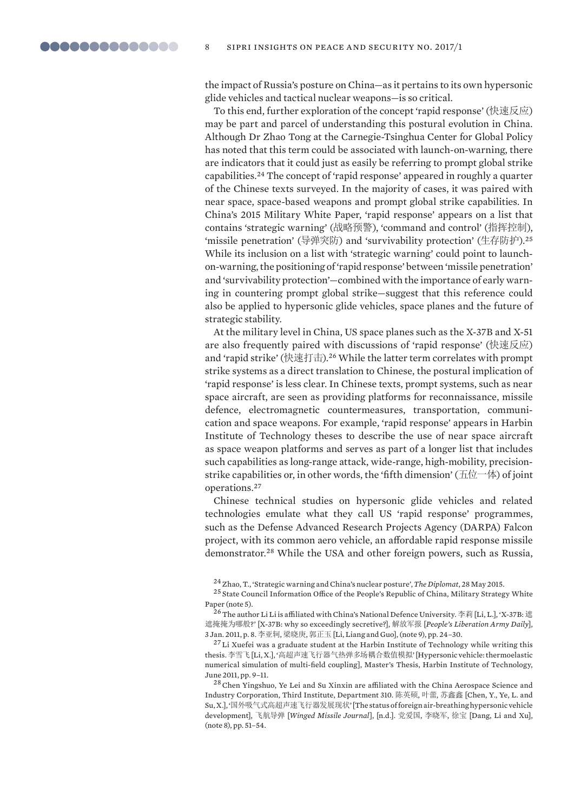the impact of Russia's posture on China—as it pertains to its own hypersonic glide vehicles and tactical nuclear weapons—is so critical.

To this end, further exploration of the concept 'rapid response' (快速反应) may be part and parcel of understanding this postural evolution in China. Although Dr Zhao Tong at the Carnegie-Tsinghua Center for Global Policy has noted that this term could be associated with launch-on-warning, there are indicators that it could just as easily be referring to prompt global strike capabilities.24 The concept of 'rapid response' appeared in roughly a quarter of the Chinese texts surveyed. In the majority of cases, it was paired with near space, space-based weapons and prompt global strike capabilities. In China's 2015 Military White Paper, 'rapid response' appears on a list that contains 'strategic warning' (战略预警), 'command and control' (指挥控制), 'missile penetration' (导弹突防) and 'survivability protection' (生存防护).<sup>25</sup> While its inclusion on a list with 'strategic warning' could point to launchon -warning, the positioning of 'rapid response' between 'missile penetration' and 'survivability protection'—combined with the importance of early warning in countering prompt global strike—suggest that this reference could also be applied to hypersonic glide vehicles, space planes and the future of strategic stability.

At the military level in China, US space planes such as the X-37B and X-51 are also frequently paired with discussions of 'rapid response' (快速反应) and 'rapid strike' (快速打击).<sup>26</sup> While the latter term correlates with prompt strike systems as a direct translation to Chinese, the postural implication of 'rapid response' is less clear. In Chinese texts, prompt systems, such as near space aircraft, are seen as providing platforms for reconnaissance, missile defence, electromagnetic countermeasures, transportation, communication and space weapons. For example, 'rapid response' appears in Harbin Institute of Technology theses to describe the use of near space aircraft as space weapon platforms and serves as part of a longer list that includes such capabilities as long-range attack, wide-range, high-mobility, precisionstrike capabilities or, in other words, the 'fifth dimension' ( $\pm \dot{\alpha}$ ) of joint operations. <sup>27</sup>

Chinese technical studies on hypersonic glide vehicles and related technologies emulate what they call US 'rapid response' programmes, such as the Defense Advanced Research Projects Agency (DARPA) Falcon project, with its common aero vehicle, an affordable rapid response missile demonstrator.<sup>28</sup> While the USA and other foreign powers, such as Russia,

24 Zhao, T., 'Strategic warning and China's nuclear posture', *The Diplomat*, 28 May 2015.

 $^{25}\rm{State}$  Council Information Office of the People's Republic of China, Military Strategy White Paper (note 5).

 $26$  The author Li Li is affiliated with China's National Defence University. 李莉 [Li, L.], 'X-37B: 遮 遮掩掩为哪般?' [X-37B: why so exceedingly secretive?], 解放军报 [People's Liberation Army Daily], 3 Jan. 2011, p. 8. 李亚轲, 梁晓庚, 郭正玉 [Li, Liang and Guo], (note 9), pp. 24-30.

<sup>27</sup> Li Xuefei was a graduate student at the Harbin Institute of Technology while writing this thesis. 李雪飞 [Li, X.], '高超声速飞行器气热弹多场耦合数值模拟' [Hypersonic vehicle: thermoelastic numerical simulation of multi-field coupling], Master's Thesis, Harbin Institute of Technology, June 2011, pp. 9–11.

<sup>28</sup> Chen Yingshuo, Ye Lei and Su Xinxin are affiliated with the China Aerospace Science and Industry Corporation, Third Institute, Department 310, 陈英硕, 叶蕾, 苏鑫鑫 [Chen, Y., Ye, L. and Su, X.], '国外吸气式高超声速飞行器发展现状' [The status of foreign air-breathing hypersonic vehicle development], 飞航导弹 [Winged Missile Journal], [n.d.]. 党爱国, 李晓军, 徐宝 [Dang, Li and Xu], (note 8), pp. 51–54.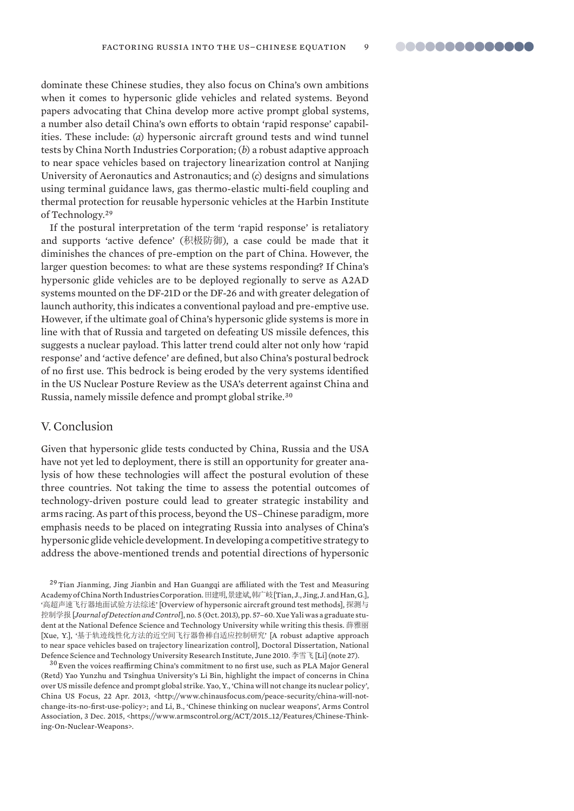dominate these Chinese studies, they also focus on China's own ambitions when it comes to hypersonic glide vehicles and related systems. Beyond papers advocating that China develop more active prompt global systems, a number also detail China's own efforts to obtain 'rapid response' capabilities. These include: (*a*) hypersonic aircraft ground tests and wind tunnel tests by China North Industries Corporation; (*b*) a robust adaptive approach to near space vehicles based on trajectory linearization control at Nanjing University of Aeronautics and Astronautics; and (*c*) designs and simulations using terminal guidance laws, gas thermo-elastic multi-field coupling and thermal protection for reusable hypersonic vehicles at the Harbin Institute of Technology.<sup>29</sup>

If the postural interpretation of the term 'rapid response' is retaliatory and supports 'active defence' (积极防御), a case could be made that it diminishes the chances of pre-emption on the part of China. However, the larger question becomes: to what are these systems responding? If China's hypersonic glide vehicles are to be deployed regionally to serve as A2AD systems mounted on the DF-21D or the DF-26 and with greater delegation of launch authority, this indicates a conventional payload and pre-emptive use. However, if the ultimate goal of China's hypersonic glide systems is more in line with that of Russia and targeted on defeating US missile defences, this suggests a nuclear payload. This latter trend could alter not only how 'rapid response' and 'active defence' are defined, but also China's postural bedrock of no first use. This bedrock is being eroded by the very systems identified in the US Nuclear Posture Review as the USA's deterrent against China and Russia, namely missile defence and prompt global strike.<sup>30</sup>

# V. Conclusion

Given that hypersonic glide tests conducted by China, Russia and the USA have not yet led to deployment, there is still an opportunity for greater analysis of how these technologies will affect the postural evolution of these three countries. Not taking the time to assess the potential outcomes of technology-driven posture could lead to greater strategic instability and arms racing. As part of this process, beyond the US–Chinese paradigm, more emphasis needs to be placed on integrating Russia into analyses of China's hypersonic glide vehicle development. In developing a competitive strategy to address the above-mentioned trends and potential directions of hypersonic

 $29$  Tian Jianming, Jing Jianbin and Han Guangqi are affiliated with the Test and Measuring Academy of China North Industries Corporation. 田建明,景建斌,韩广岐 [Tian, J., Jing, J. and Han, G.], '高超声速飞行器地面试验方法综述' [Overview of hypersonic aircraft ground test methods], 探测与 ᧗ࡦᆖᣕ [*Journal of Detection and Control*], no. 5 (Oct. 2013), pp. 57–60. Xue Yali was a graduate student at the National Defence Science and Technology University while writing this thesis. 薛雅丽 [Xue, Y.], '基于轨迹线性化方法的近空间飞行器鲁棒自适应控制研究' [A robust adaptive approach to near space vehicles based on trajectory linearization control], Doctoral Dissertation, National Defence Science and Technology University Research Institute, June 2010. 李雪飞 [Li] (note 27).

 $30$  Even the voices reaffirming China's commitment to no first use, such as PLA Major General (Retd) Yao Yunzhu and Tsinghua University's Li Bin, highlight the impact of concerns in China over US missile defence and prompt global strike. Yao, Y., 'China will not change its nuclear policy', China US Focus, 22 Apr. 2013, <http://www.chinausfocus.com/peace-security/china-will-notchange-its-no-first-use-policy>; and Li, B., 'Chinese thinking on nuclear weapons', Arms Control Association, 3 Dec. 2015, <https://www.armscontrol.org/ACT/2015\_12/Features/Chinese-Thinking-On-Nuclear-Weapons>.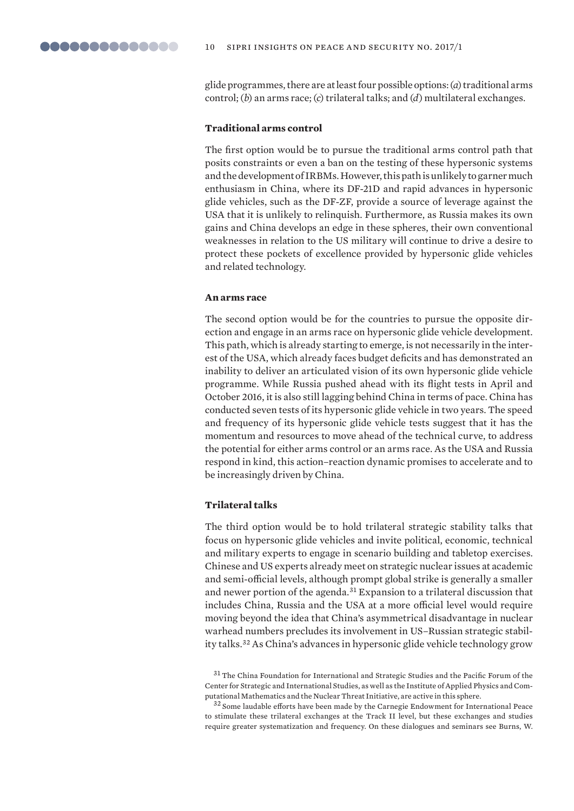glide programmes, there are at least four possible options: (*a*) traditional arms control; (*b*) an arms race; (*c*) trilateral talks; and (*d*) multilateral exchanges.

### **Traditional arms control**

The first option would be to pursue the traditional arms control path that posits constraints or even a ban on the testing of these hypersonic systems and the development of IRBMs. However, this path is unlikely to garner much enthusiasm in China, where its DF-21D and rapid advances in hypersonic glide vehicles, such as the DF-ZF, provide a source of leverage against the USA that it is unlikely to relinquish. Furthermore, as Russia makes its own gains and China develops an edge in these spheres, their own conventional weaknesses in relation to the US military will continue to drive a desire to protect these pockets of excellence provided by hypersonic glide vehicles and related technology.

#### **An arms race**

The second option would be for the countries to pursue the opposite direction and engage in an arms race on hypersonic glide vehicle development. This path, which is already starting to emerge, is not necessarily in the interest of the USA, which already faces budget deficits and has demonstrated an inability to deliver an articulated vision of its own hypersonic glide vehicle programme. While Russia pushed ahead with its flight tests in April and October 2016, it is also still lagging behind China in terms of pace. China has conducted seven tests of its hypersonic glide vehicle in two years. The speed and frequency of its hypersonic glide vehicle tests suggest that it has the momentum and resources to move ahead of the technical curve, to address the potential for either arms control or an arms race. As the USA and Russia respond in kind, this action–reaction dynamic promises to accelerate and to be increasingly driven by China.

#### **Trilateral talks**

The third option would be to hold trilateral strategic stability talks that focus on hypersonic glide vehicles and invite political, economic, technical and military experts to engage in scenario building and tabletop exercises. Chinese and US experts already meet on strategic nuclear issues at academic and semi-official levels, although prompt global strike is generally a smaller and newer portion of the agenda.31 Expansion to a trilateral discussion that includes China, Russia and the USA at a more official level would require moving beyond the idea that China's asymmetrical disadvantage in nuclear warhead numbers precludes its involvement in US–Russian strategic stability talks.32 As China's advances in hypersonic glide vehicle technology grow

<sup>31</sup> The China Foundation for International and Strategic Studies and the Pacific Forum of the Center for Strategic and International Studies, as well as the Institute of Applied Physics and Computational Mathematics and the Nuclear Threat Initiative, are active in this sphere.

 $^{32}$  Some laudable efforts have been made by the Carnegie Endowment for International Peace to stimulate these trilateral exchanges at the Track II level, but these exchanges and studies require greater systematization and frequency. On these dialogues and seminars see Burns, W.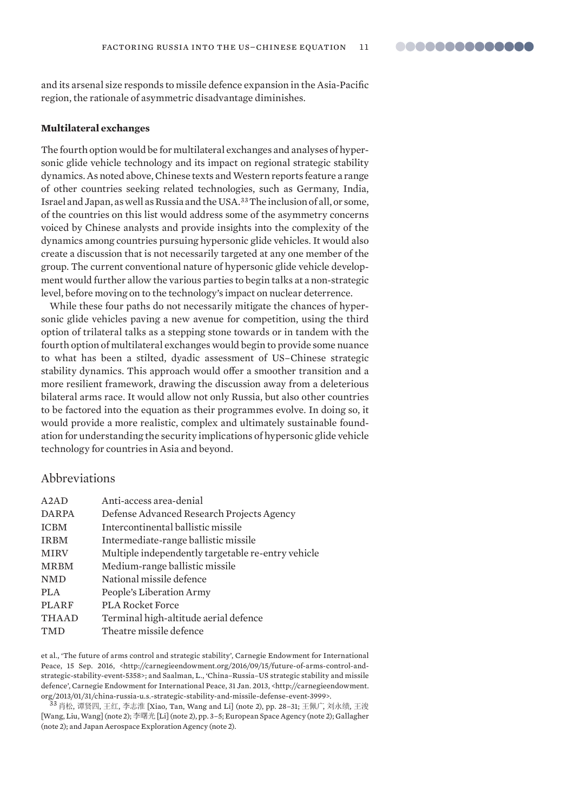and its arsenal size responds to missile defence expansion in the Asia-Pacific region, the rationale of asymmetric disadvantage diminishes.

#### **Multilateral exchanges**

The fourth option would be for multilateral exchanges and analyses of hypersonic glide vehicle technology and its impact on regional strategic stability dynamics. As noted above, Chinese texts and Western reports feature a range of other countries seeking related technologies, such as Germany, India, Israel and Japan, as well as Russia and the USA.33 The inclusion of all, or some, of the countries on this list would address some of the asymmetry concerns voiced by Chinese analysts and provide insights into the complexity of the dynamics among countries pursuing hypersonic glide vehicles. It would also create a discussion that is not necessarily targeted at any one member of the group. The current conventional nature of hypersonic glide vehicle development would further allow the various parties to begin talks at a non-strategic level, before moving on to the technology's impact on nuclear deterrence.

While these four paths do not necessarily mitigate the chances of hypersonic glide vehicles paving a new avenue for competition, using the third option of trilateral talks as a stepping stone towards or in tandem with the fourth option of multilateral exchanges would begin to provide some nuance to what has been a stilted, dyadic assessment of US–Chinese strategic stability dynamics. This approach would offer a smoother transition and a more resilient framework, drawing the discussion away from a deleterious bilateral arms race. It would allow not only Russia, but also other countries to be factored into the equation as their programmes evolve. In doing so, it would provide a more realistic, complex and ultimately sustainable foundation for understanding the security implications of hypersonic glide vehicle tech nology for countries in Asia and beyond.

# Abbreviations

| A2AD         | Anti-access area-denial                            |
|--------------|----------------------------------------------------|
| <b>DARPA</b> | Defense Advanced Research Projects Agency          |
| <b>ICBM</b>  | Intercontinental ballistic missile                 |
| <b>IRBM</b>  | Intermediate-range ballistic missile               |
| <b>MIRV</b>  | Multiple independently targetable re-entry vehicle |
| <b>MRBM</b>  | Medium-range ballistic missile                     |
| <b>NMD</b>   | National missile defence                           |
| PLA          | People's Liberation Army                           |
| <b>PLARF</b> | <b>PLA Rocket Force</b>                            |
| <b>THAAD</b> | Terminal high-altitude aerial defence              |
| TMD          | Theatre missile defence                            |

et al., 'The future of arms control and strategic stability', Carnegie Endowment for International Peace, 15 Sep. 2016, <http://carnegieendowment.org/2016/09/15/future-of-arms-control-andstrategic-stability-event-5358>; and Saalman, L., 'China–Russia–US strategic stability and missile defence', Carnegie Endowment for International Peace, 31 Jan. 2013, <http://carnegieendowment. org/2013/01/31/china-russia-u.s.-strategic-stability-and-missile-defense-event-3999>.

33 肖松, 谭贤四, 王红, 李志淮 [Xiao, Tan, Wang and Li] (note 2), pp. 28-31; 王佩广, 刘永绩, 王浚 [Wang, Liu, Wang] (note 2); 李曙光 [Li] (note 2), pp. 3-5; European Space Agency (note 2); Gallagher (note 2); and Japan Aerospace Exploration Agency (note 2).